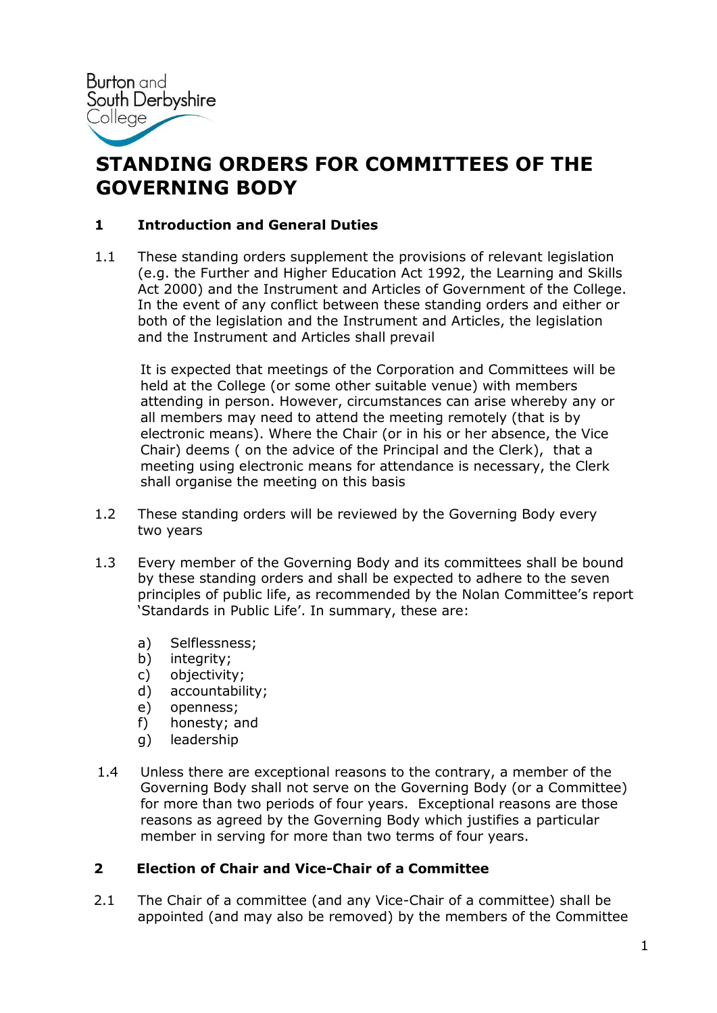

# **STANDING ORDERS FOR COMMITTEES OF THE GOVERNING BODY**

# **1 Introduction and General Duties**

1.1 These standing orders supplement the provisions of relevant legislation (e.g. the Further and Higher Education Act 1992, the Learning and Skills Act 2000) and the Instrument and Articles of Government of the College. In the event of any conflict between these standing orders and either or both of the legislation and the Instrument and Articles, the legislation and the Instrument and Articles shall prevail

It is expected that meetings of the Corporation and Committees will be held at the College (or some other suitable venue) with members attending in person. However, circumstances can arise whereby any or all members may need to attend the meeting remotely (that is by electronic means). Where the Chair (or in his or her absence, the Vice Chair) deems ( on the advice of the Principal and the Clerk), that a meeting using electronic means for attendance is necessary, the Clerk shall organise the meeting on this basis

- 1.2 These standing orders will be reviewed by the Governing Body every two years
- 1.3 Every member of the Governing Body and its committees shall be bound by these standing orders and shall be expected to adhere to the seven principles of public life, as recommended by the Nolan Committee's report 'Standards in Public Life'. In summary, these are:
	- a) Selflessness;
	- b) integrity;
	- c) objectivity;
	- d) accountability;
	- e) openness;
	- f) honesty; and
	- g) leadership
- 1.4 Unless there are exceptional reasons to the contrary, a member of the Governing Body shall not serve on the Governing Body (or a Committee) for more than two periods of four years. Exceptional reasons are those reasons as agreed by the Governing Body which justifies a particular member in serving for more than two terms of four years.

#### **2 Election of Chair and Vice-Chair of a Committee**

2.1 The Chair of a committee (and any Vice-Chair of a committee) shall be appointed (and may also be removed) by the members of the Committee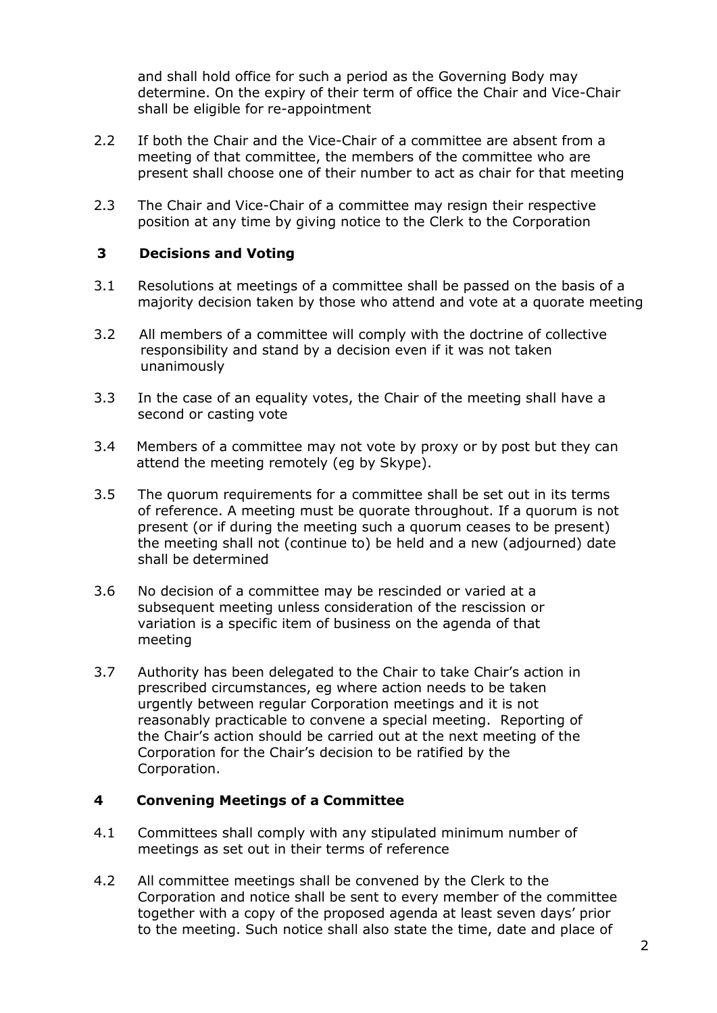and shall hold office for such a period as the Governing Body may determine. On the expiry of their term of office the Chair and Vice-Chair shall be eligible for re-appointment

- 2.2 If both the Chair and the Vice-Chair of a committee are absent from a meeting of that committee, the members of the committee who are present shall choose one of their number to act as chair for that meeting
- 2.3 The Chair and Vice-Chair of a committee may resign their respective position at any time by giving notice to the Clerk to the Corporation

#### **3 Decisions and Voting**

- 3.1 Resolutions at meetings of a committee shall be passed on the basis of a majority decision taken by those who attend and vote at a quorate meeting
- 3.2 All members of a committee will comply with the doctrine of collective responsibility and stand by a decision even if it was not taken unanimously
- 3.3 In the case of an equality votes, the Chair of the meeting shall have a second or casting vote
- 3.4 Members of a committee may not vote by proxy or by post but they can attend the meeting remotely (eg by Skype).
- 3.5 The quorum requirements for a committee shall be set out in its terms of reference. A meeting must be quorate throughout. If a quorum is not present (or if during the meeting such a quorum ceases to be present) the meeting shall not (continue to) be held and a new (adjourned) date shall be determined
- 3.6 No decision of a committee may be rescinded or varied at a subsequent meeting unless consideration of the rescission or variation is a specific item of business on the agenda of that meeting
- 3.7 Authority has been delegated to the Chair to take Chair's action in prescribed circumstances, eg where action needs to be taken urgently between regular Corporation meetings and it is not reasonably practicable to convene a special meeting. Reporting of the Chair's action should be carried out at the next meeting of the Corporation for the Chair's decision to be ratified by the Corporation.

# **4 Convening Meetings of a Committee**

- 4.1 Committees shall comply with any stipulated minimum number of meetings as set out in their terms of reference
- 4.2 All committee meetings shall be convened by the Clerk to the Corporation and notice shall be sent to every member of the committee together with a copy of the proposed agenda at least seven days' prior to the meeting. Such notice shall also state the time, date and place of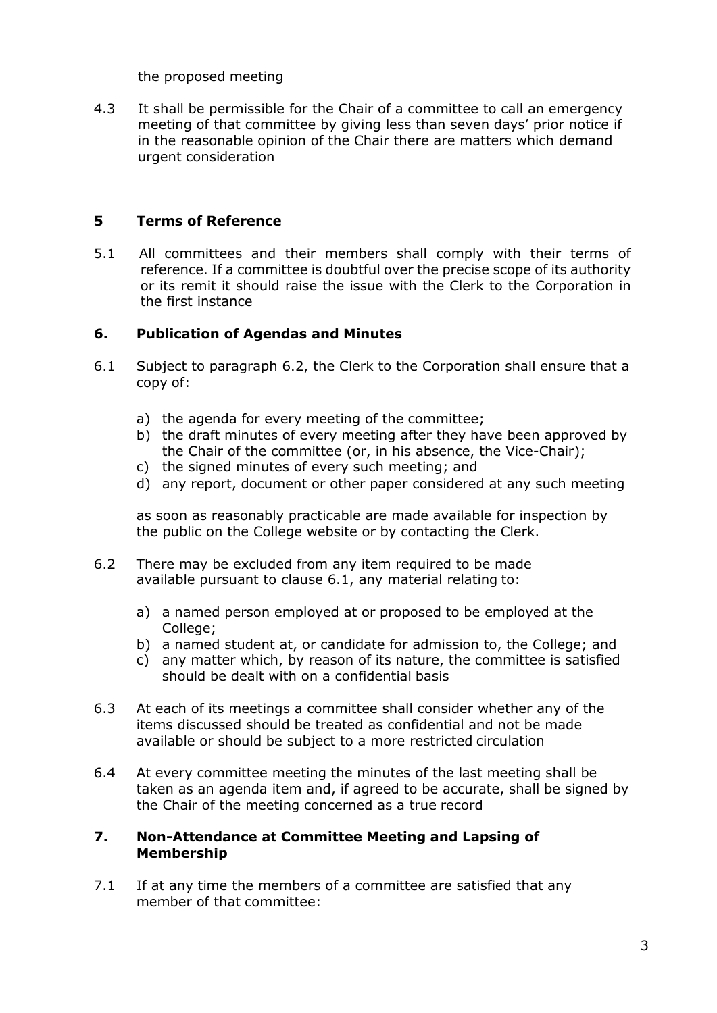the proposed meeting

4.3 It shall be permissible for the Chair of a committee to call an emergency meeting of that committee by giving less than seven days' prior notice if in the reasonable opinion of the Chair there are matters which demand urgent consideration

# **5 Terms of Reference**

5.1 All committees and their members shall comply with their terms of reference. If a committee is doubtful over the precise scope of its authority or its remit it should raise the issue with the Clerk to the Corporation in the first instance

### **6. Publication of Agendas and Minutes**

- 6.1 Subject to paragraph 6.2, the Clerk to the Corporation shall ensure that a copy of:
	- a) the agenda for every meeting of the committee;
	- b) the draft minutes of every meeting after they have been approved by the Chair of the committee (or, in his absence, the Vice-Chair);
	- c) the signed minutes of every such meeting; and
	- d) any report, document or other paper considered at any such meeting

as soon as reasonably practicable are made available for inspection by the public on the College website or by contacting the Clerk.

- 6.2 There may be excluded from any item required to be made available pursuant to clause 6.1, any material relating to:
	- a) a named person employed at or proposed to be employed at the College;
	- b) a named student at, or candidate for admission to, the College; and
	- c) any matter which, by reason of its nature, the committee is satisfied should be dealt with on a confidential basis
- 6.3 At each of its meetings a committee shall consider whether any of the items discussed should be treated as confidential and not be made available or should be subject to a more restricted circulation
- 6.4 At every committee meeting the minutes of the last meeting shall be taken as an agenda item and, if agreed to be accurate, shall be signed by the Chair of the meeting concerned as a true record

#### **7. Non-Attendance at Committee Meeting and Lapsing of Membership**

7.1 If at any time the members of a committee are satisfied that any member of that committee: